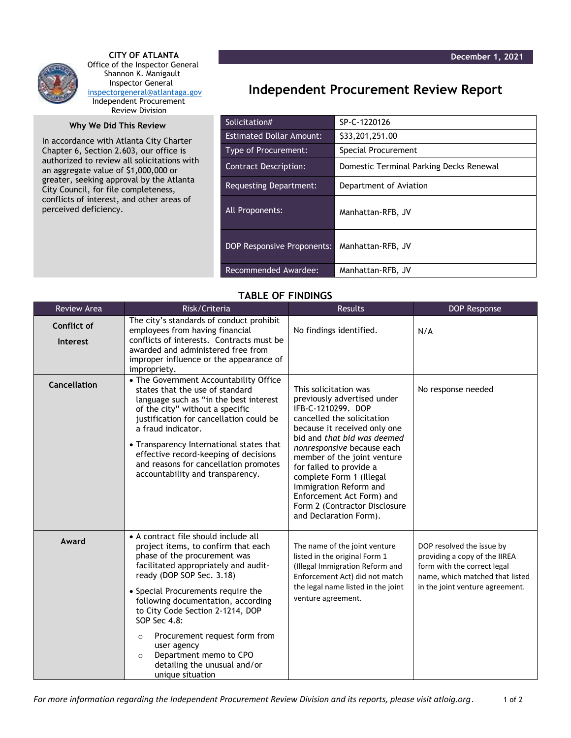

 **CITY OF ATLANTA** Office of the Inspector General Shannon K. Manigault Inspector General [inspectorgeneral@atlantaga.gov](mailto:inspectorgeneral@atlantaga.gov) Independent Procurement Review Division

## **Why We Did This Review**

In accordance with Atlanta City Charter Chapter 6, Section 2.603, our office is authorized to review all solicitations with an aggregate value of \$1,000,000 or greater, seeking approval by the Atlanta City Council, for file completeness, conflicts of interest, and other areas of perceived deficiency.

## **Independent Procurement Review Report**

| Solicitation#                     | SP-C-1220126                            |  |
|-----------------------------------|-----------------------------------------|--|
| <b>Estimated Dollar Amount:</b>   | \$33,201,251.00                         |  |
| Type of Procurement:              | Special Procurement                     |  |
| <b>Contract Description:</b>      | Domestic Terminal Parking Decks Renewal |  |
| Requesting Department:            | Department of Aviation                  |  |
| All Proponents:                   | Manhattan-RFB, JV                       |  |
| <b>DOP Responsive Proponents:</b> | Manhattan-RFB, JV                       |  |
| Recommended Awardee:              | Manhattan-RFB, JV                       |  |

## **TABLE OF FINDINGS**

| <b>Review Area</b>             | Risk/Criteria                                                                                                                                                                                                                                                                                                                                                                                                                                                        | <b>Results</b>                                                                                                                                                                                                                                                                                                                                                                                                | <b>DOP Response</b>                                                                                                                                             |
|--------------------------------|----------------------------------------------------------------------------------------------------------------------------------------------------------------------------------------------------------------------------------------------------------------------------------------------------------------------------------------------------------------------------------------------------------------------------------------------------------------------|---------------------------------------------------------------------------------------------------------------------------------------------------------------------------------------------------------------------------------------------------------------------------------------------------------------------------------------------------------------------------------------------------------------|-----------------------------------------------------------------------------------------------------------------------------------------------------------------|
| Conflict of<br><b>Interest</b> | The city's standards of conduct prohibit<br>employees from having financial<br>conflicts of interests. Contracts must be<br>awarded and administered free from<br>improper influence or the appearance of<br>impropriety.                                                                                                                                                                                                                                            | No findings identified.                                                                                                                                                                                                                                                                                                                                                                                       | N/A                                                                                                                                                             |
| Cancellation                   | • The Government Accountability Office<br>states that the use of standard<br>language such as "in the best interest<br>of the city" without a specific<br>justification for cancellation could be<br>a fraud indicator.<br>• Transparency International states that<br>effective record-keeping of decisions<br>and reasons for cancellation promotes<br>accountability and transparency.                                                                            | This solicitation was<br>previously advertised under<br>IFB-C-1210299. DOP<br>cancelled the solicitation<br>because it received only one<br>bid and that bid was deemed<br>nonresponsive because each<br>member of the joint venture<br>for failed to provide a<br>complete Form 1 (Illegal<br>Immigration Reform and<br>Enforcement Act Form) and<br>Form 2 (Contractor Disclosure<br>and Declaration Form). | No response needed                                                                                                                                              |
| Award                          | • A contract file should include all<br>project items, to confirm that each<br>phase of the procurement was<br>facilitated appropriately and audit-<br>ready (DOP SOP Sec. 3.18)<br>• Special Procurements require the<br>following documentation, according<br>to City Code Section 2-1214, DOP<br>SOP Sec 4.8:<br>Procurement request form from<br>$\circ$<br>user agency<br>Department memo to CPO<br>$\circ$<br>detailing the unusual and/or<br>unique situation | The name of the joint venture<br>listed in the original Form 1<br>(Illegal Immigration Reform and<br>Enforcement Act) did not match<br>the legal name listed in the joint<br>venture agreement.                                                                                                                                                                                                               | DOP resolved the issue by<br>providing a copy of the IIREA<br>form with the correct legal<br>name, which matched that listed<br>in the joint venture agreement. |